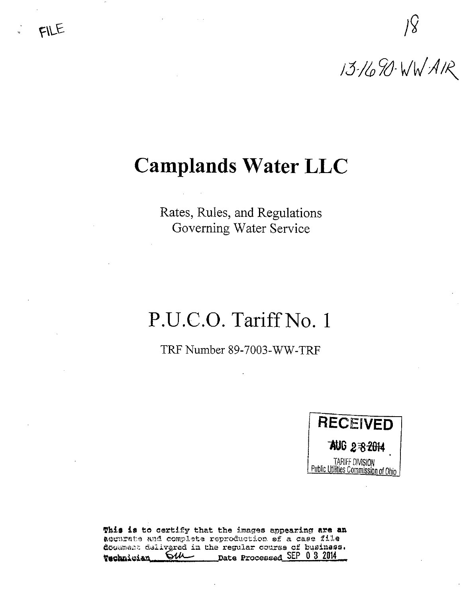# Camplands Water LLC

Rates, Rules, and Regulations Governing Water Service

# P.U.C.O. Tariff No. 1

TRF Number 89-7003-WW-TRF



This is to certify that the images appearing are an acourata and complete reproduction of a case file docement delivered in the regular course of business.<br> **Weeknitian...** OU Date Processed SEP 0 3 2014  $\frac{C}{V}$  Date Processed SEP 0 3 2014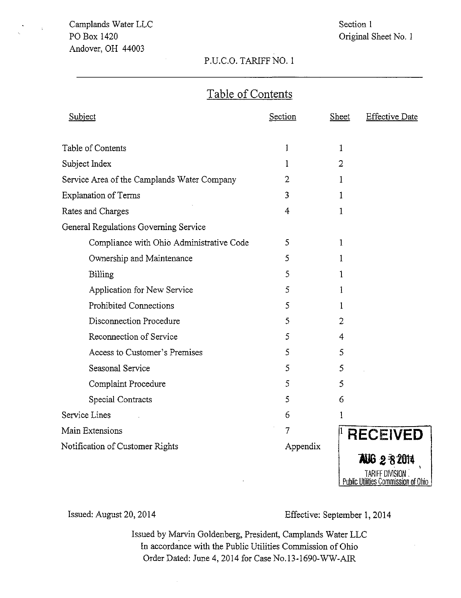Section 1 Original Sheet No. 1

### P.U.C.O. TARIFF NO. 1

### Table of Contents

| Subject                                     | Section        | Sheet | <b>Effective Date</b> |
|---------------------------------------------|----------------|-------|-----------------------|
|                                             |                |       |                       |
| Table of Contents                           | 1              | 1     |                       |
| Subject Index                               | 1              | 2     |                       |
| Service Area of the Camplands Water Company | 2              | 1     |                       |
| Explanation of Terms                        | 3              | 1     |                       |
| Rates and Charges                           | 4              | 1     |                       |
| General Regulations Governing Service       |                |       |                       |
| Compliance with Ohio Administrative Code    | 5              | 1     |                       |
| Ownership and Maintenance                   | 5              | 1     |                       |
| Billing                                     | 5              | ı     |                       |
| Application for New Service                 | 5              | 1     |                       |
| <b>Prohibited Connections</b>               | 5              | 1     |                       |
| Disconnection Procedure                     | 5              | 2     |                       |
| Reconnection of Service                     | 5              | 4     |                       |
| Access to Customer's Premises               | 5              | 5     |                       |
| <b>Seasonal Service</b>                     | 5              | 5     |                       |
| Complaint Procedure                         | 5              | 5     |                       |
| Special Contracts                           | 5              | 6     |                       |
| Service Lines                               | 6              | 1     |                       |
| Main Extensions                             | $\overline{7}$ |       | <b>RECEIVED</b>       |
| Notification of Customer Rights             | Appendix       |       |                       |
|                                             |                |       | <b>AUG 2 3 2014</b>   |
|                                             |                |       | TARIFF DIVISION       |

Issued: August 20, 2014 Effective: September 1, 2014

<u>Public Utilities Commission of Ohio J</u>

Issued by Marvin Goldenberg, President, Camplands Water LLC In accordance with the Public Utilities Commission of Ohio Order Dated: June 4, 2014 for Case No.l3-1690-WW-AIR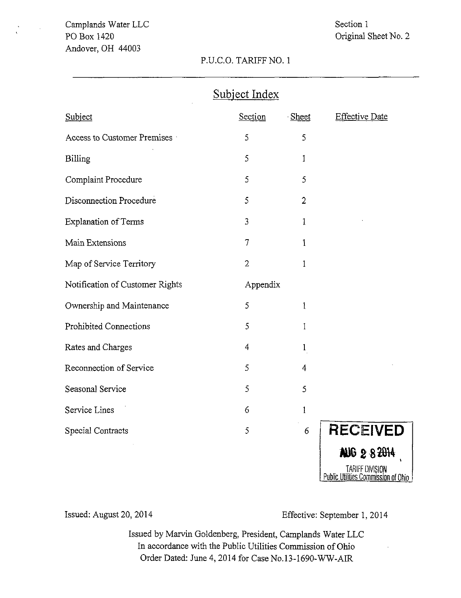### Section 1 Original Sheet No. 2

#### P.U.C.O. TARIFF NO. 1

### Subject Index

| Subject                         | Section        | Sheet          | <b>Effective Date</b>               |
|---------------------------------|----------------|----------------|-------------------------------------|
| Access to Customer Premises     | 5              | 5              |                                     |
| Billing                         | 5              | 1              |                                     |
| Complaint Procedure             | 5              | 5              |                                     |
| Disconnection Procedure         | 5              | $\overline{2}$ |                                     |
| <b>Explanation of Terms</b>     | 3              | $\mathbf{1}$   |                                     |
| Main Extensions                 | 7              | $\mathbf{1}$   |                                     |
| Map of Service Territory        | $\overline{2}$ | 1              |                                     |
| Notification of Customer Rights | Appendix       |                |                                     |
| Ownership and Maintenance       | 5              | 1              |                                     |
| <b>Prohibited Connections</b>   | 5              | 1              |                                     |
| Rates and Charges               | 4              | $\mathbf{1}$   |                                     |
| Reconnection of Service         | 5              | $\overline{4}$ |                                     |
| Seasonal Service                | 5              | 5              |                                     |
| Service Lines                   | 6              | $\mathbf{1}$   |                                     |
| Special Contracts               | 5              | 6              | <b>RECEIVED</b>                     |
|                                 |                |                | AUG 282014<br><b>TINITE BURGHAL</b> |

TARIFF DIVISION <u>Public Utilities Commission of U</u>nio

Issued: August 20, 2014 Effective: September 1, 2014

Issued by Marvin Goldenberg, President, Camplands Water LLC In accordance with the Public Utilities Commission of Ohio Order Dated: June 4, 2014 for Case No.l3-1690-WW-AIR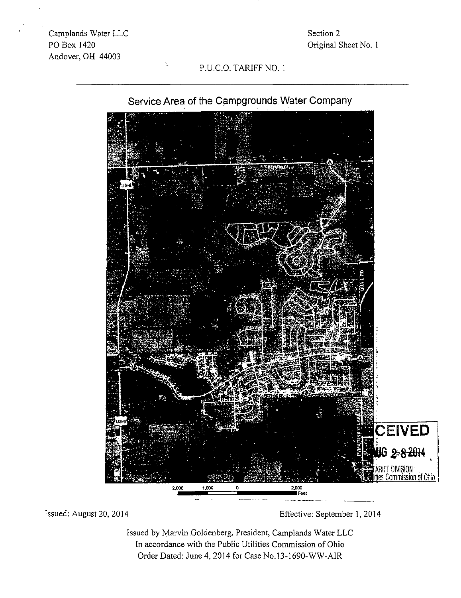Section 2 Original Sheet No. 1

### P.U.C.O. TARIFF NO. 1



## Service Area of the Campgrounds Water Company

Issued: August 20, 2014 Effective: September 1, 2014

Issued by Marvin Goldenberg, President, Camplands Water LLC In accordance with the Public Utilities Commission of Ohio Order Dated: June 4, 2014 for Case No. 13-1690-WW-AIR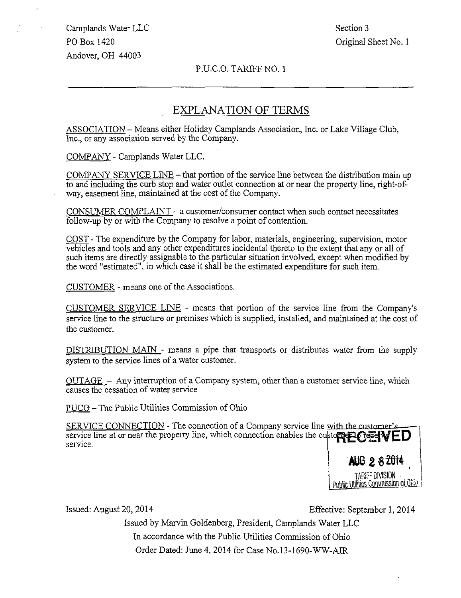Camplands Water LLC Section 3 PO Box 1420 **PO Box 1420 PO Box 1420** Andover, OH 44003

#### P.U.C.O. TARIFF NO. 1

#### EXPLANATION OF TERMS

ASSOCIATION - Means either Holiday Camplands Association, Inc. or Lake Village Club, Inc., or any association served by the Company.

COMPANY - Camplands Water LLC.

COMPANY SERVICE LINE - that portion of the service line between the distribution main up to and including the curb stop and water outlet connection at or near the property line, right-ofway, easement line, maintained at the cost of the Company.

CONSUMER COMPLAINT  $-$  a customer/consumer contact when such contact necessitates follow-up by or with the Company to resolve a point of contention.

COST - The expenditure by the Company for labor, materials, engineering, supervision, motor vehicles and tools and any other expenditures incidental thereto to the extent that any or all of such items are directly assignable to the particular situation involved, except when modified by the word "estimated", in which case it shall be the estimated expenditure for such item.

CUSTOMER - means one of the Associations.

CUSTOMER SERVICE LINE - means that portion of the service line from the Company's service line to the structure or premises which is supplied, installed, and maintained at the cost of the customer.

DISTRIBUTION MAIN - means a pipe that transports or distributes water from the supply system to the service lines of a water customer.

OUTAGE - Any interruption of a Company system, other than a customer service line, which causes the cessation of water service

PUCO - The Public Utilities Commission of Ohio

SERVICE CONNECTION - The connection of a Company service line with the customer's service line at or near the property line, which connection enables the custom  $PQ$  and  $VED$ service.

1i6 2«28W, TARIFF DIVISION • ^^. Public Utilities Commission of Ohio\_

Issued: August 20, 2014 Effective: September 1,2014

Issued by Marvin Goldenberg, President, Camplands Water LLC In accordance with the Public Utilities Commission of Ohio Order Dated: June 4, 2014 for Case No.l3-1690-WW-AIR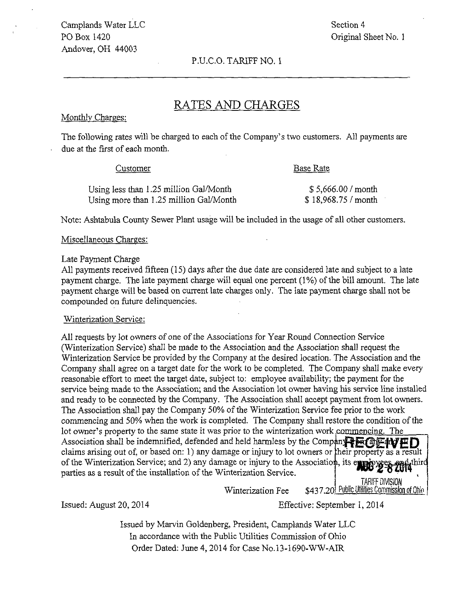Camplands Water LLC Section 4 PO Box 1420 Original Sheet No. 1 Andover, OH 44003

P.U.C.O. TARIFF NO. 1

### RATES AND CHARGES

#### Monthlv Charges:

The following rates will be charged to each of the Company's two customers. AH payments are due at the first of each month.

#### Customer Base Rate

Using less than 1.25 million Gal/Month  $$ 5,666.00 / month$ <br>Using more than 1.25 million Gal/Month  $$ 18,968.75 / month$  $U_{\rm eff}$  more than 1.25  $\mu$  more than 1.25  $\mu$  more than 1.25  $\mu$  month  $\mu$ 

 $\mathcal{L}_{\mathcal{S}}$  Sewer Plant use will be included in the usage of all other customers. The usage of all other customers.

## Miscellaneous Charges:

#### Late Payment Charge

All payments received fifteen (15) days after the due date are considered late and subject to a late payment charge. The late payment charge will equal one percent (1%) of the bill amount. The late payment charge will be based on current late charges only. The late payment charge shall not be compounded on future delinquencies.

#### Winterization Service:

All requests by lot owners of one of the Associations for Year Round Connection Service (Winterization Service) shall be made to the Association and the Association shall request the Winterization Service be provided by the Company at the desired location. The Association and the Company shall agree on a target date for the work to be completed. The Company shall make every reasonable effort to meet the target date, subject to: employee availability; the payment for the service being made to the Association; and the Association lot owner having his service line installed and ready to be connected by the Company. The Association shall accept payment from lot owners. The Association shall pay the Company 50% of the Winterization Service fee prior to the work commencing and 50% when the work is completed. The Company shall restore the condition of the lot owner's property to the same state it was prior to the winterization work commencing. The Association shall be indemnified, defended and held harmless by the Compan<sup>t</sup> ECEWED claims arising out of, or based on: 1) any damage or injury to lot owners or their property as a result of the Winterization Service; and 2) any damage or injury to the Association, its eye parties as a result of the installation of the Winterization Service. TARIFF DIVISION

Winterization Fee \$437.20 Public Utilities Commission of Ohio

Issued: August 20,2014 Effective: September I, 2014

Issued by Marvin Goldenberg, President, Camplands Water LLC In accordance with the Public Utilities Commission of Ohio Order Dated: June 4,2014 for Case No.13-1690-WW-AIR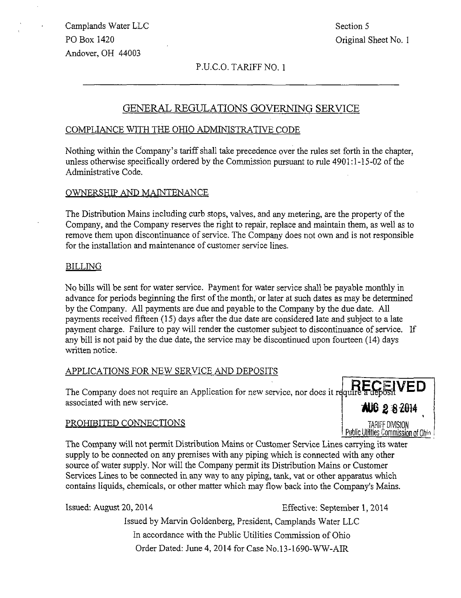Camplands Water LLC Section 5 PO Box 1420 Criginal Sheet No. 1 Andover, OH 44003

#### P.U.C.O. TARIFF NO. 1

#### GENERAL REGULATIONS GOVERNING SERVICB

#### COMPLIANCE WITH THE OHIO ADMINISTRATIVE CODE

Nothing within the Company's tariff shall take precedence over the rules set forth in the chapter, unless otherwise specifically ordered by the Commission pursuant to rule  $4901:1-15-02$  of the Administrative Code.

#### OWNERSHIP AND MAINTENANCE

The Distribution Mains including curb stops, valves, and any metering, are the property of the Company, and the Company reserves the right to repair, replace and maintain them, as well as to remove them upon discontinuance of service. The Company does not own and is not responsible for the installation and maintenance of customer service lines.

#### BILLING

No bills will be sent for water service. Payment for water service shall be payable monthly in advance for periods beginning the first of the month, or later at such dates as may be determined by the Company. All payments are due and payable to the Company by the due date. All payments received fifteen (15) days after the due date are considered late and subject to a late payment charge. Failure to pay will render the customer subject to discontinuance of service. If any bill is not paid by the due date, the service may be discontinued upon fourteen (14) days written notice.

#### APPLICATIONS FOR NEW SERVICE AND DEPOSITS

The Company does not require an Application for new service, nor does it require a deposit  $VED$ associated with new service.

#### PROHIBITED CONNECTIONS

**AUG 2 8 2014** TARIFF DIVISION Public Utilities Commission of Ohio

The Company will not permit Distribution Mains or Customer Service Lines carrying its water supply to be connected on any premises with any piping which is connected with any other source of water supply. Nor will the Company permit its Distribution Mains or Customer Services Lines to be connected in any way to any piping, tank, vat or other apparatus which contains liquids, chemicals, or other matter which may flow back into the Company's Mains.

Issued: August 20, 2014 Effective: September 1,2014

Issued by Marvin Goldenberg, President, Camplands Water LLC In accordance with the Public Utilities Commission of Ohio Order Dated: June 4, 2014 for Case No.13-1690-WW-AIR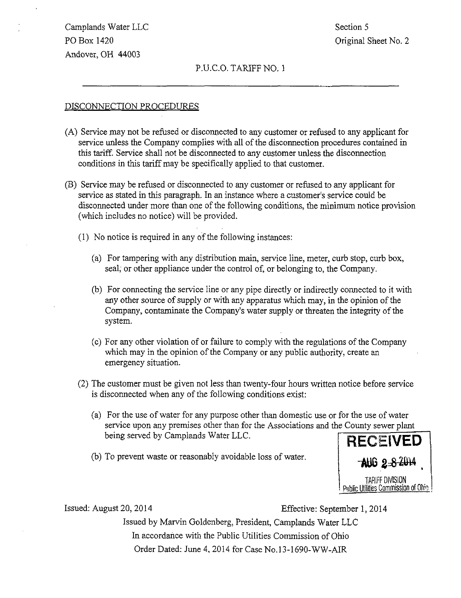Camplands Water LLC Section 5 PO Box 1420 Criginal Sheet No. 2 Andover, OH 44003

#### P.U.C.O. TARIFF NO. 1

#### DISCONNECTION PROCEDURES

- (A) Service may not be refused or disconnected to any customer or refused to any applicant for service unless the Company complies with all of the disconnection procedures contained in this tariff. Service shall not be disconnected to any customer unless the disconnection conditions in this tariff may be specifically applied to that customer.
- (B) Service may be refused or disconnected to any customer or refused to any applicant for service as stated in this paragraph. In an instance where a customer's service could be disconnected under more than one of the following conditions, the minimum notice provision (which includes no notice) will be provided.
	- (1) No notice is required in any of the following instances:
		- (a) For tampering with any distribution main, service line, meter, curb stop, curb box, seal, or other appliance under the control of, or belonging to, the Company.
		- (b) For connecting the service line or any pipe directly or indirectly connected to it with any other source of supply or with any apparatus which may, in the opinion of the Company, contaminate the Company's water supply or threaten the integrity of the system.
		- (c) For any other violation of or failure to comply with the regulations of the Company which may in the opinion of the Company or any public authority, create an emergency situation.
	- (2) The customer must be given not less than twenty-four hoiurs written notice before service is disconnected when any of the following conditions exist:
		- (a) For the use of water for any purpose other than domestic use or for the use of water service upon any premises other than for the Associations and the County sewer plant being served by Camplands Water LLC.
		- (b) To prevent waste or reasonably avoidable loss of water.



Issued: August 20, 2014 Effective: September 1, 2014

Issued by Marvin Goldenberg, President, Camplands Water LLC In accordance with the Public Utilities Commission of Ohio Order Dated: June 4, 2014 for Case No.l3-1690-WW-AIR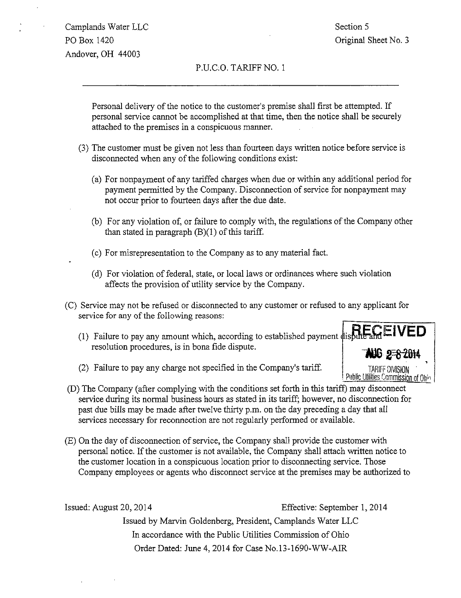Camplands Water LLC Section 5 PO Box 1420 **PO Box 1420 PO Box 1420** Andover, OH 44003

#### P.U.C.O. TARIFF NO. 1

Personal delivery of the notice to the customer's premise shall first be attempted. If personal service cannot be accomplished at that time, then the notice shall be securely attached to the premises in a conspicuous manner.

- (3) The customer must be given not less than fourteen days written notice before service is disconnected when any of the following conditions exist:
	- (a) For nonpayment of any tariffed charges when due or within any additional period for payment permitted by the Company. Discormection of service for nonpayment may not occur prior to fourteen days after the due date.
	- (b) For any violation of, or failure to comply with, the regulations of the Company other than stated in paragraph  $(B)(1)$  of this tariff.
	- (c) For misrepresentation to the Company as to any material fact.
	- (d) For violation of federal, state, or local laws or ordinances where such violation affects the provision of utility service by the Company.
- (C) Service may not be refused or disconnected to any customer or refused to any apphcant for service for any of the following reasons:
	- (1) Failure to pay any amount which, according to established payment  $\frac{1}{4}$  is put and  $\equiv$  **IVED** resolution procedures, is in bona fide dispute.



- (2) Failure to pay any charge not specified in the Company's tariff
- (D) The Company (after complying with the conditions set forth in this tariff) may disconnect service during its normal business hours as stated in its tariff; however, no disconnection for past due bills may be made after twelve thirty p.m. on the day preceding a day that all services necessary for reconnection are not regularly performed or available.
- (E) On the day of disconnection of service, the Company shall provide the customer with personal notice. If the customer is not available, the Company shall attach written notice to the customer location in a conspicuous location prior to disconnecting service. Those Company employees or agents who disconnect service at the premises may be authorized to

Issued: August 20, 2014 Effective: September 1, 2014

Issued by Marvin Goldenberg, President, Camplands Water LLC In accordance with the Public Utilities Commission of Ohio Order Dated: June 4, 2014 for Case No.13-1690-WW-AIR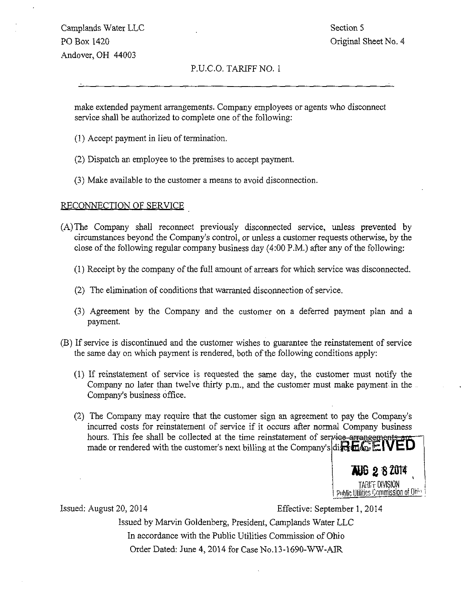Camplands Water LLC Section 5 PO Box 1420 Criginal Sheet No. 4 Andover, OH 44003

#### P.U.C.O. TARIFF NO. 1

make extended payment arrangements. Company employees or agents who disconnect service shall be authorized to complete one of the following:

- (1) Accept payment in lieu of termination.
- (2) Dispatch an employee to the premises to accept payment.
- (3) Make available to the customer a means to avoid disconnection.

#### RECONNECTION OF SERVICE

- (A) The Company shall recormect previously disconnected service, unless prevented by circumstances beyond the Company's control, or unless a customer requests otherwise, by the close of the following regular company business day (4:00 P.M.) after any of the following:
	- (1) Receipt by the company of the full amount of arrears for which service was disconnected.
	- (2) The elimination of conditions that warranted disconnection of service.
	- (3) Agreement by the Company and the customer on a deferred payment plan and a payment.
- (B) If service is discontinued and the customer wishes to guarantee the reinstatement of service the same day on which payment is rendered, both of the following conditions apply:
	- (1) If reinstatement of service is requested the same day, the customer must notify the Company no later than twelve thirty p.m., and the customer must make payment.in the Company's business office.
	- (2) The Company may require that the customer sign an agreement to pay the Company's incurred costs for reinstatement of service if it occurs after normal Company business hours. This fee shall be collected at the time reinstatement of service-arrangements are made or rendered with the customer's next billing at the Company's direction  $\mathbb{CP}$   $\mathbb{CP}$



Issued: August 20, 2014 Effective: September 1, 2014

Issued by Marvin Goldenberg, President, Camplands Water LLC In accordance with the Public Utilities Commission of Ohio Order Dated: June 4, 2014 for Case No.13-1690-WW-AIR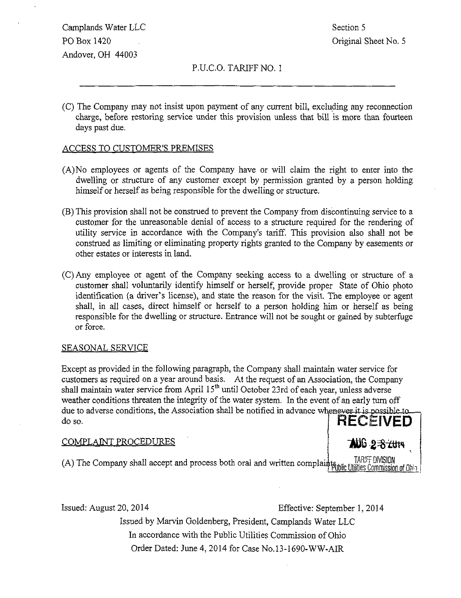Camplands Water LLC Section 5 PO Box 1420 Criginal Sheet No. 5 Andover, OH 44003

P.U.C.O. TARIFF NO. 1

(C) The Company may not insist upon payment of any current bill, excluding any reconnection charge, before restoring service under this provision unless that bill is more than fourteen days past due.

#### ACCESS TO CUSTOMER'S PREMISES

- (A) No employees or agents of the Company have or will claim the right to enter mto the dwelling or structure of any customer except by permission granted by a person holding himself or herself as being responsible for the dwelling or structure.
- (B) This provision shall not be construed to prevent the Company from discontinuing service to a customer for the unreasonable denial of access to a structure required for the rendering of utility service in accordance with the Company's tariff. This provision also shall not be construed as limiting or elimmating property rights granted to the Company by easements or other estates or interests in land,
- (C) Any employee or agent of the Company seeking access to a dwelling or structure of a customer shall voluntarily identify himself or herself, provide proper State of Ohio photo identification (a driver's license), and state the reason for the visit. The employee or agent shall, in ail cases, direct himself or herself to a person holding him or herself as being responsible for the dwelling or structure. Entrance will hot be sought or gained by subterfuge or force.

#### SEASONAL SERVICE

Except as provided in the following paragraph, the Company shall maintain water service for customers as required on a year around basis. At the request of an Association, the Company shall maintain water service from April  $15<sup>th</sup>$  until October 23rd of each year, unless adverse weather conditions threaten the integrity of the water system. In the event of an early tum off due to adverse conditions, the Association shall be notified in advance whenever it is possible to do so.  $HECEIVED$ 

#### COMPLAINT PROCEDURES



(A) The Company shall accept and process both oral and written complaints, and the DIVISION (A)  $\frac{1 \text{ART DIVISION}}{1 \text{ HUSE Commission of } 0 \text{ N}}$ 

Issued: August 20, 2014 Effective: September 1, 2014

Issued by Marvin Goldenberg, President, Camplands Water LLC In accordance with the Public Utilities Commission of Ohio Order Dated: June 4, 2014 for Case No.13-1690-WW-AIR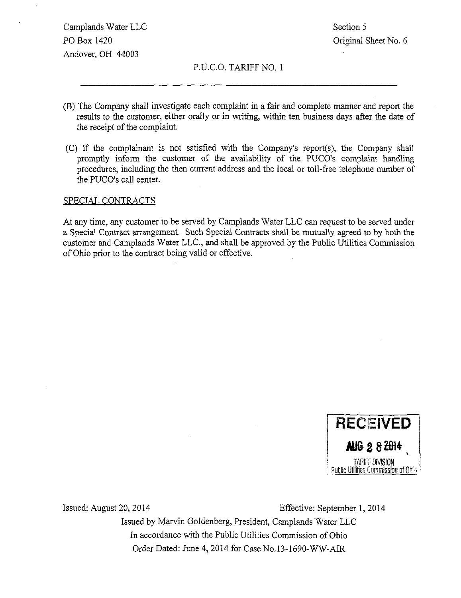Camplands Water LLC Section 5 PO Box 1420 Criginal Sheet No. 6 Andover, OH 44003

#### P.U.C.O. TARIFF NO. 1

- (B) The Company shall investigate each complamt in a fair and complete manner and report the results to the customer, either orally or in writing, within ten business days after the date of the receipt of the complaint.
- (C) If the complainant is not satisfied with the Company's report(s), the Company shall promptly inform the customer of the availability of the PUCO's complaint handling procedures, including the then current address and the local or toll-free telephone number of the PUCO's call center.

#### SPECIAL CONTRACTS

At any time, any customer to be served by Camplands Water LLC can request to be served under a Special Contract arrangement. Such Special Contracts shall be mutually agreed to by both the customer and Camplands Water LLC, and shall be approved by the Public Utilities Commission of Ohio prior to the contract being valid or effective.



Issued: August 20, 2014 Effective: September 1,2014

Issued by Marvin Goldenberg, President, Camplands Water LLC In accordance with the Public Utilities Commission of Ohio Order Dated: June 4, 2014 for Case No.13-1690-WW-AIR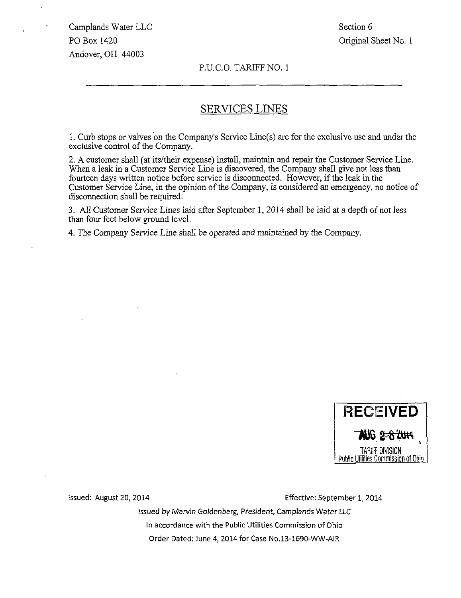Section 6 Original Sheet No. 1

#### P.U.C.O. TARIFF NO. 1

#### SERVICES LINES

1. Curb stops or valves on the Company's Service Line(s) are for the exclusive use and under the exclusive control of the Company.

2. A customer shall (at its/their expense) install, maintain and repair the Customer Service Line. When a leak in a Customer Service Line is discovered, the Company shall give not less than fourteen days written notice before service is disconnected. However, if the leak in the Customer Service Line, in the opinion of the Company, is considered an emergency, no notice of disconnection shall be required.

3. All Customer Service Lines laid after September 1, 2014 shall be laid at a depth of not less than four feet below ground level.

4. The Company Service Line shall be operated and maintained by the Company.



issued: August 20, 2014 Effective: September 1, 2014

Issued by Marvin Goldenberg, President, Camplands Water LLC In accordance with the Public Utilities Commission of Ohio Order Dated: June 4, 2014 for Case No.13-1690-WW-AIR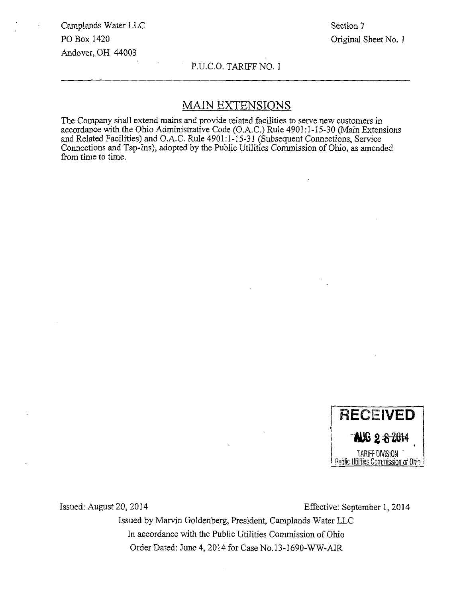Section 7 Original Sheet No. 1

P.U.C.O. TARIFF NO. I

### MAIN EXTENSIONS

The Company shall extend mains and provide related facilities to serve new customers in accordance with the Ohio Administrative Code (O.A.C.) Rule 4901:1-15-30 (Main Extensions and Related Facilities) and O.A.C. Rule 4901:1-15-31 (Subsequent Connections, Service Connections and Tap-Ins), adopted by the Public Utilities Commission of Ohio, as amended from time to time.



Issued: August 20, 2014 Effective: September 1, 2014

Issued by Marvin Goldenberg, President, Camplands Water LLC In accordance with the Public Utilities Commission of Ohio Order Dated: June 4, 2014 for Case No.13-1690-WW-AIR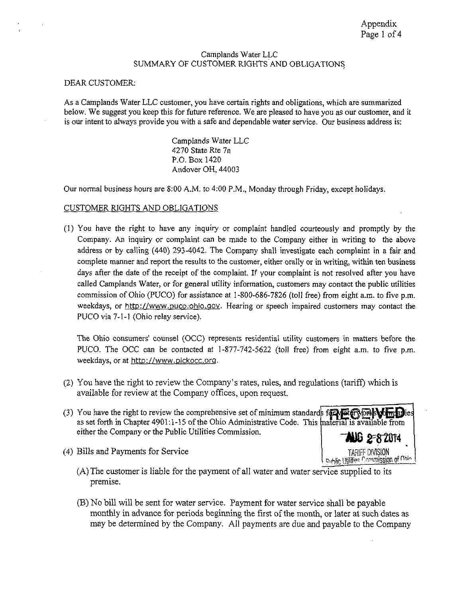#### Camplands Water LLC SUMMARY OF CUSTOMER RIGHTS AND OBLIGATIONS

#### DEAR CUSTOMER:

As a Camplands Water LLC customer, you have certain rights and obligations, which are summarized below. We suggest you keep this for future reference. We,are pleased to have you as our customer, and it is our intent to always provide you with a safe and dependable water service. Our business address is:

> Camplands Water LLC 4270 State Rte 7n P.O. Box 1420 Andover OH, 44003

Our normal business hours are 8:00 A.M. to 4:00 P.M., Monday through Friday, except holidays.

#### CUSTOMER RIGHTS AND OBLIGATIONS

(!) You have the right to have any inquiry or complaint handled courteously and promptly by the Company. An inquiry or complaint can be made to the Company either in writing to the above address or by calling (440) 293-4042. The Company shall investigate each complaint in a fair and complete manner and report the results to the customer, either orally or in writing, within ten business days after the date of the receipt of the complaint. If your complaint is not resolved after you have called Camplands Water, or for general utility information, customers may contact the public utilities commission of Ohio (PUCO) for assistance at 1-800-686-7826 (toll free) from eight a.m. to five p.m. weekdays, or http://www.puco.ohio.gov. Hearing or speech impaired customers may contact the PUCO via 7-1-1 (Ohio relay service).

The Ohio consumers' counsel (OCC) represents residential utility customers in matters before the PUCO. The OCC can be contacted at 1-877-742-5622 (toll free) from eight a.m. to five p.m. weekdays, or at http://www.pickocc.org.

- (2) You have the right to review the Company's rates, rules, and regulations (tariff) which is available for review at the Company offices, upon request.
- (3) You have the right to review the comprehensive set of minimum standards for  $\mathbb{F}_2$   $\mathbb{F}_3$   $\mathbb{F}_4$   $\mathbb{F}_5$  ies as set forth in Chapter 4901:1-15 of the Ohio Administrative Code. This material is available from either the Company or the Public Utilities Commission.  $\begin{array}{ccc} \hline \end{array}$   $\begin{array}{ccc} \hline \text{AIG} & \text{2-8-2014} \end{array}$
- (4) Bills and Payments for Service TARIFF DIVISION TARIFF DIVISION TARIFF DIVISION
	- (A) The customer is liable for the payment of all water and water service supplied to its premise.
	- (B) No bill will be sent for water service. Payment for water service shall be payable monthly in advance for periods beginning the first of the month, or later at such dates as may be determined by the Company. All payments are due and payable to the Company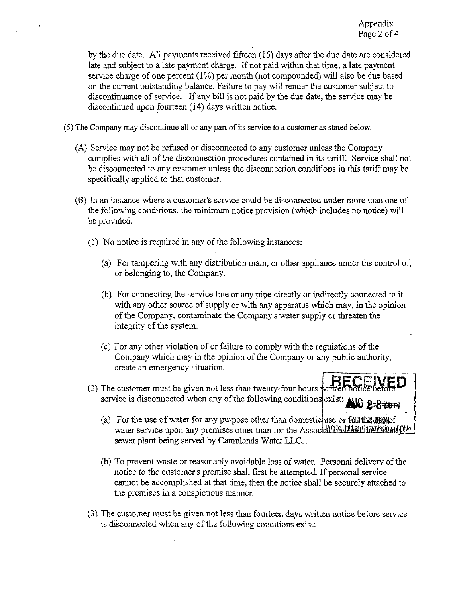by the due date. All payments received fifteen (15) days after the due date are considered late and subject to a late payment charge. If not paid within that time, a late payment service charge of one percent (1%) per month (not compounded) will also be due based on the current outstanding balance. Failure to pay will render the customer subject to discontinuance of service. If any bill is not paid by the due date, the service may be discontinued upon fourteen (14) days written notice.

(5) The Company may discontinue all or any part of its service to a customer as stated below.

- (A) Service may not be refused or disconnected to any customer unless the Company complies with all of the disconnection procedures contained in its tariff. Service shall not be disconnected to any customer unless the discormection conditions in this tariff may be specifically applied to that customer.
- (B) In an instance where a customer's service could be disconnected under more than one of the following conditions, the minimum notice provision (which includes no notice) will be provided.
	- (1) No notice is required in any of the following instances:
		- (a) For tampering with any distribution main, or other appliance under the control of, or belonging to, the Company.
		- (b) For connecting the service line or any pipe directly or indirectly connected to it with any other source of supply or with any apparatus which may, in the opinion of the Company, contaminate the Company's water supply or threaten the integrity of the system.
		- (c) For any other violation of or failure to comply with the regulations of the Company which may in the opinion of the Company or any public authority, create an emergency situation.
	- (2) The customer must be given not less than twenty-four hours written noticely service is disconnected when any of the following conditions exist. All  $\frac{2-8}{\pm 0.9}$ 
		- (a) For the use of water for any purpose other than domestic use or  $\text{Left}$  and  $\text{Right}$ water service upon any premises other than for the Associal United the research  $\mathbb{R}^{\text{th}}$ sewer plant being served by Camplands Water LLC..
		- (b) To prevent waste or reasonably avoidable loss of water. Personal delivery of the notice to the customer's premise shall first be attempted. If personal service cannot be accomplished at that time, then the notice shall be securely attached to the premises in a conspicuous manner.
	- (3) The customer must be given not less than fourteen days written notice before service is disconnected when any of the following conditions exist: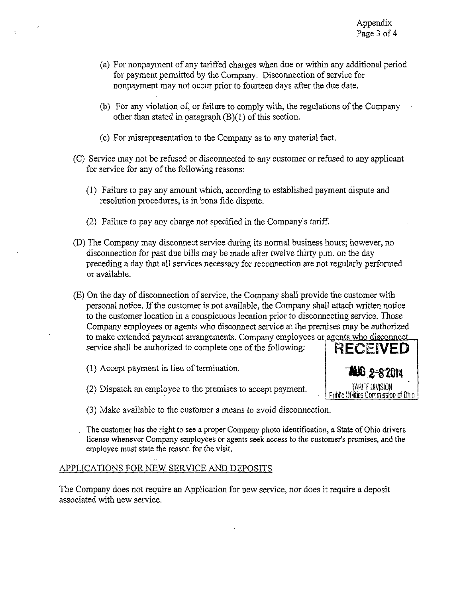- (a) For nonpayment of any tariffed charges when due or within any additional period for payment permitted by the Company. Disconnection of service for nonpayment may not occur prior to fourteen days after the due date.
- (b) For any violation of, or failure to comply with, the regulations of the Company other than stated in paragraph  $(B)(1)$  of this section.
- (c) For misrepresentation to the Company as to any material fact.
- (C) Service may not be refused or disconnected to any customer or refused to any applicant for service for any of the following reasons:
	- (1) Failure to pay any amount which, according to established payment dispute and resolution procedures, is in bona fide dispute.
	- (2) Failure to pay any charge not specified in the Company's tariff
- (D) The Company may disconnect service during its normal business hours; however, no disconnection for past due bills may be made after twelve thirty p.m. on the day preceding a day that all services necessary for reconnection are not regularly performed or available,
- (E) On the day of disconnection of service, the Company shall provide the customer with personal notice. If the customer is not available, the Company shall attach written notice to the customer location in a conspicuous location prior to disconnecting service. Those Company employees or agents who disconnect service at the premises may be authorized to make extended payment arrangements. Company employees or agents who disconnect service shall be authorized to complete one of the following:
	- (1) Accept payment in lieu of termination.
	- $(2)$  Dispatch an employee to the premises to accept payment.



- (3) Make available to the customer a means to avoid discormection.
- . The customer has the right to see a proper Company photo identification, a State of Ohio drivers license whenever Company employees or agents seek access to the customer's premises, and the employee must state the reason for the visit.

#### APPLICATIONS FOR NEW SERVICE AND DEPOSITS

The Company does not require an Application for new service, nor does it require a deposit associated with new service.